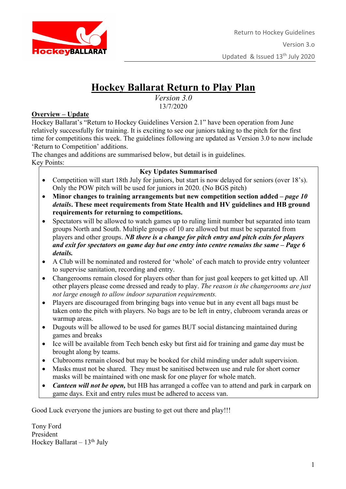

# **Hockey Ballarat Return to Play Plan**

*Version 3.0* 13/7/2020

#### **Overview – Update**

Hockey Ballarat's "Return to Hockey Guidelines Version 2.1" have been operation from June relatively successfully for training. It is exciting to see our juniors taking to the pitch for the first time for competitions this week. The guidelines following are updated as Version 3.0 to now include 'Return to Competition' additions.

The changes and additions are summarised below, but detail is in guidelines. Key Points:

#### **Key Updates Summarised**

- Competition will start 18th July for juniors, but start is now delayed for seniors (over 18's). Only the POW pitch will be used for juniors in 2020. (No BGS pitch)
- **Minor changes to training arrangements but new competition section added –** *page 10 details***. These meet requirements from State Health and HV guidelines and HB ground requirements for returning to competitions.**
- Spectators will be allowed to watch games up to ruling limit number but separated into team groups North and South. Multiple groups of 10 are allowed but must be separated from players and other groups. *NB there is a change for pitch entry and pitch exits for players and exit for spectators on game day but one entry into centre remains the same – Page 6 details.*
- A Club will be nominated and rostered for 'whole' of each match to provide entry volunteer to supervise sanitation, recording and entry.
- Changerooms remain closed for players other than for just goal keepers to get kitted up. All other players please come dressed and ready to play. *The reason is the changerooms are just not large enough to allow indoor separation requirements.*
- Players are discouraged from bringing bags into venue but in any event all bags must be taken onto the pitch with players. No bags are to be left in entry, clubroom veranda areas or warmup areas.
- Dugouts will be allowed to be used for games BUT social distancing maintained during games and breaks
- Ice will be available from Tech bench esky but first aid for training and game day must be brought along by teams.
- Clubrooms remain closed but may be booked for child minding under adult supervision.
- Masks must not be shared. They must be sanitised between use and rule for short corner masks will be maintained with one mask for one player for whole match.
- *Canteen will not be open,* but HB has arranged a coffee van to attend and park in carpark on game days. Exit and entry rules must be adhered to access van.

Good Luck everyone the juniors are busting to get out there and play!!!

Tony Ford President Hockey Ballarat –  $13<sup>th</sup>$  July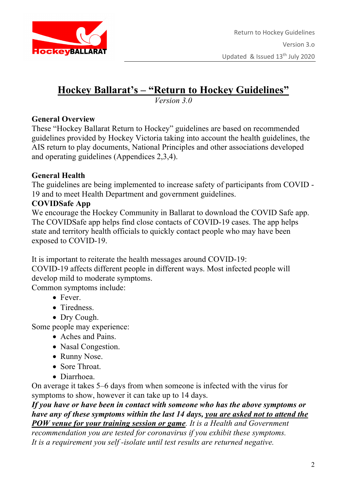

# **Hockey Ballarat's – "Return to Hockey Guidelines"**

*Version 3.0*

### **General Overview**

These "Hockey Ballarat Return to Hockey" guidelines are based on recommended guidelines provided by Hockey Victoria taking into account the health guidelines, the AIS return to play documents, National Principles and other associations developed and operating guidelines (Appendices 2,3,4).

### **General Health**

The guidelines are being implemented to increase safety of participants from COVID - 19 and to meet Health Department and government guidelines.

## **COVIDSafe App**

We encourage the Hockey Community in Ballarat to download the COVID Safe app. The COVIDSafe app helps find close contacts of COVID-19 cases. The app helps state and territory health officials to quickly contact people who may have been exposed to COVID-19.

It is important to reiterate the health messages around COVID-19:

COVID-19 affects different people in different ways. Most infected people will develop mild to moderate symptoms.

Common symptoms include:

- Fever.
- Tiredness.
- Dry Cough.

Some people may experience:

- Aches and Pains.
- Nasal Congestion.
- Runny Nose.
- Sore Throat.
- Diarrhoea.

On average it takes 5–6 days from when someone is infected with the virus for symptoms to show, however it can take up to 14 days.

*If you have or have been in contact with someone who has the above symptoms or have any of these symptoms within the last 14 days, you are asked not to attend the POW venue for your training session or game. It is a Health and Government* 

*recommendation you are tested for coronavirus if you exhibit these symptoms. It is a requirement you self -isolate until test results are returned negative.*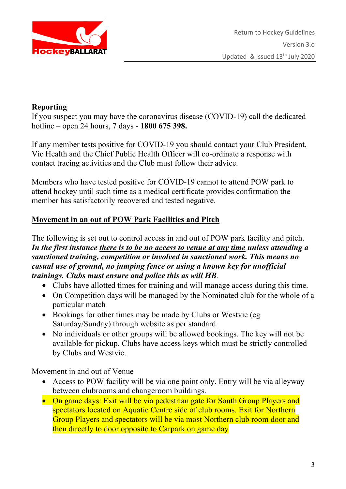

### **Reporting**

If you suspect you may have the coronavirus disease (COVID-19) call the dedicated hotline – open 24 hours, 7 days - **1800 675 398.** 

If any member tests positive for COVID-19 you should contact your Club President, Vic Health and the Chief Public Health Officer will co-ordinate a response with contact tracing activities and the Club must follow their advice.

Members who have tested positive for COVID-19 cannot to attend POW park to attend hockey until such time as a medical certificate provides confirmation the member has satisfactorily recovered and tested negative.

## **Movement in an out of POW Park Facilities and Pitch**

The following is set out to control access in and out of POW park facility and pitch. *In the first instance there is to be no access to venue at any time unless attending a sanctioned training, competition or involved in sanctioned work. This means no casual use of ground, no jumping fence or using a known key for unofficial trainings. Clubs must ensure and police this as will HB.*

- Clubs have allotted times for training and will manage access during this time.
- On Competition days will be managed by the Nominated club for the whole of a particular match
- Bookings for other times may be made by Clubs or Westvic (eg) Saturday/Sunday) through website as per standard.
- No individuals or other groups will be allowed bookings. The key will not be available for pickup. Clubs have access keys which must be strictly controlled by Clubs and Westvic.

Movement in and out of Venue

- Access to POW facility will be via one point only. Entry will be via alleyway between clubrooms and changeroom buildings.
- On game days: Exit will be via pedestrian gate for South Group Players and spectators located on Aquatic Centre side of club rooms. Exit for Northern Group Players and spectators will be via most Northern club room door and then directly to door opposite to Carpark on game day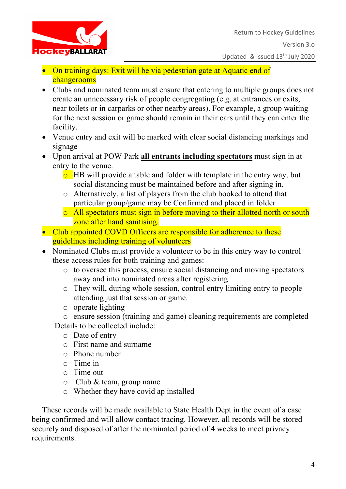

- On training days: Exit will be via pedestrian gate at Aquatic end of changerooms
- Clubs and nominated team must ensure that catering to multiple groups does not create an unnecessary risk of people congregating (e.g. at entrances or exits, near toilets or in carparks or other nearby areas). For example, a group waiting for the next session or game should remain in their cars until they can enter the facility.
- Venue entry and exit will be marked with clear social distancing markings and signage
- Upon arrival at POW Park **all entrants including spectators** must sign in at entry to the venue.
	- $\overline{\circ}$  HB will provide a table and folder with template in the entry way, but social distancing must be maintained before and after signing in.
	- o Alternatively, a list of players from the club booked to attend that particular group/game may be Confirmed and placed in folder
	- o All spectators must sign in before moving to their allotted north or south zone after hand sanitising.
- Club appointed COVD Officers are responsible for adherence to these guidelines including training of volunteers
- Nominated Clubs must provide a volunteer to be in this entry way to control these access rules for both training and games:
	- o to oversee this process, ensure social distancing and moving spectators away and into nominated areas after registering
	- o They will, during whole session, control entry limiting entry to people attending just that session or game.
	- o operate lighting

o ensure session (training and game) cleaning requirements are completed Details to be collected include:

- o Date of entry
- o First name and surname
- o Phone number
- o Time in
- o Time out
- o Club & team, group name
- o Whether they have covid ap installed

These records will be made available to State Health Dept in the event of a case being confirmed and will allow contact tracing. However, all records will be stored securely and disposed of after the nominated period of 4 weeks to meet privacy requirements.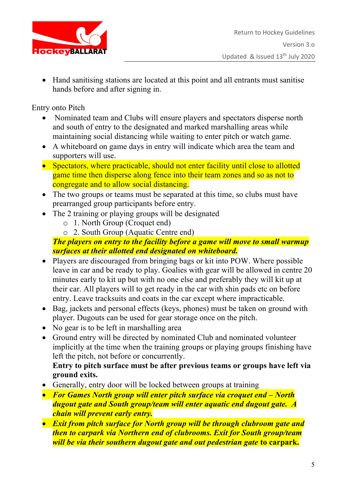

• Hand sanitising stations are located at this point and all entrants must sanitise hands before and after signing in.

Entry onto Pitch

- Nominated team and Clubs will ensure players and spectators disperse north and south of entry to the designated and marked marshalling areas while maintaining social distancing while waiting to enter pitch or watch game.
- A whiteboard on game days in entry will indicate which area the team and supporters will use.
- Spectators, where practicable, should not enter facility until close to allotted game time then disperse along fence into their team zones and so as not to congregate and to allow social distancing.
- The two groups or teams must be separated at this time, so clubs must have prearranged group participants before entry.
- The 2 training or playing groups will be designated
	- o 1. North Group (Croquet end)
	- o 2. South Group (Aquatic Centre end)

## *The players on entry to the facility before a game will move to small warmup surfaces at their allotted end designated on whiteboard.*

- Players are discouraged from bringing bags or kit into POW. Where possible leave in car and be ready to play. Goalies with gear will be allowed in centre 20 minutes early to kit up but with no one else and preferably they will kit up at their car. All players will to get ready in the car with shin pads etc on before entry. Leave tracksuits and coats in the car except where impracticable.
- Bag, jackets and personal effects (keys, phones) must be taken on ground with player. Dugouts can be used for gear storage once on the pitch.
- No gear is to be left in marshalling area
- Ground entry will be directed by nominated Club and nominated volunteer implicitly at the time when the training groups or playing groups finishing have left the pitch, not before or concurrently.

#### **Entry to pitch surface must be after previous teams or groups have left via ground exits.**

- Generally, entry door will be locked between groups at training
- *For Games North group will enter pitch surface via croquet end – North dugout gate and South group/team will enter aquatic end dugout gate. A chain will prevent early entry.*
- *Exit from pitch surface for North group will be through clubroom gate and then to carpark via Northern end of clubrooms. Exit for South group/team will be via their southern dugout gate and out pedestrian gate* **to carpark.**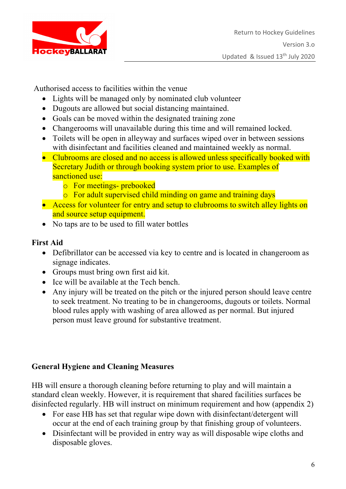

Authorised access to facilities within the venue

- Lights will be managed only by nominated club volunteer
- Dugouts are allowed but social distancing maintained.
- Goals can be moved within the designated training zone
- Changerooms will unavailable during this time and will remained locked.
- Toilets will be open in alleyway and surfaces wiped over in between sessions with disinfectant and facilities cleaned and maintained weekly as normal.
- Clubrooms are closed and no access is allowed unless specifically booked with Secretary Judith or through booking system prior to use. Examples of sanctioned use:
	- o For meetings- prebooked
	- o For adult supervised child minding on game and training days
- Access for volunteer for entry and setup to clubrooms to switch alley lights on and source setup equipment.
- No taps are to be used to fill water bottles

## **First Aid**

- Defibrillator can be accessed via key to centre and is located in changeroom as signage indicates.
- Groups must bring own first aid kit.
- Ice will be available at the Tech bench.
- Any injury will be treated on the pitch or the injured person should leave centre to seek treatment. No treating to be in changerooms, dugouts or toilets. Normal blood rules apply with washing of area allowed as per normal. But injured person must leave ground for substantive treatment.

## **General Hygiene and Cleaning Measures**

HB will ensure a thorough cleaning before returning to play and will maintain a standard clean weekly. However, it is requirement that shared facilities surfaces be disinfected regularly. HB will instruct on minimum requirement and how (appendix 2)

- For ease HB has set that regular wipe down with disinfectant/detergent will occur at the end of each training group by that finishing group of volunteers.
- Disinfectant will be provided in entry way as will disposable wipe cloths and disposable gloves.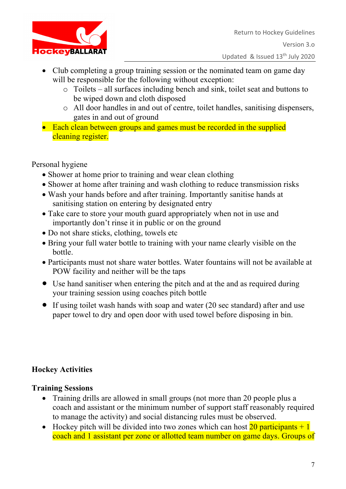

- Club completing a group training session or the nominated team on game day will be responsible for the following without exception:
	- o Toilets all surfaces including bench and sink, toilet seat and buttons to be wiped down and cloth disposed
	- o All door handles in and out of centre, toilet handles, sanitising dispensers, gates in and out of ground
- Each clean between groups and games must be recorded in the supplied cleaning register.

Personal hygiene

- Shower at home prior to training and wear clean clothing
- Shower at home after training and wash clothing to reduce transmission risks
- Wash your hands before and after training. Importantly sanitise hands at sanitising station on entering by designated entry
- Take care to store your mouth guard appropriately when not in use and importantly don't rinse it in public or on the ground
- Do not share sticks, clothing, towels etc
- Bring your full water bottle to training with your name clearly visible on the bottle.
- Participants must not share water bottles. Water fountains will not be available at POW facility and neither will be the taps
- Use hand sanitiser when entering the pitch and at the and as required during your training session using coaches pitch bottle
- If using toilet wash hands with soap and water (20 sec standard) after and use paper towel to dry and open door with used towel before disposing in bin.

# **Hockey Activities**

## **Training Sessions**

- Training drills are allowed in small groups (not more than 20 people plus a coach and assistant or the minimum number of support staff reasonably required to manage the activity) and social distancing rules must be observed.
- Hockey pitch will be divided into two zones which can host  $\frac{20}{20}$  participants  $+1$ coach and 1 assistant per zone or allotted team number on game days. Groups of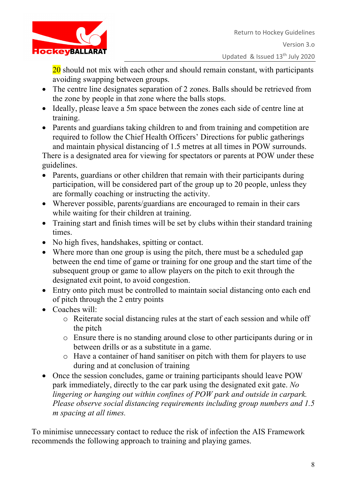

 $20$  should not mix with each other and should remain constant, with participants avoiding swapping between groups.

- The centre line designates separation of 2 zones. Balls should be retrieved from the zone by people in that zone where the balls stops.
- Ideally, please leave a 5m space between the zones each side of centre line at training.
- Parents and guardians taking children to and from training and competition are required to follow the Chief Health Officers' Directions for public gatherings and maintain physical distancing of 1.5 metres at all times in POW surrounds.

There is a designated area for viewing for spectators or parents at POW under these guidelines.

- Parents, guardians or other children that remain with their participants during participation, will be considered part of the group up to 20 people, unless they are formally coaching or instructing the activity.
- Wherever possible, parents/guardians are encouraged to remain in their cars while waiting for their children at training.
- Training start and finish times will be set by clubs within their standard training times.
- No high fives, handshakes, spitting or contact.
- Where more than one group is using the pitch, there must be a scheduled gap between the end time of game or training for one group and the start time of the subsequent group or game to allow players on the pitch to exit through the designated exit point, to avoid congestion.
- Entry onto pitch must be controlled to maintain social distancing onto each end of pitch through the 2 entry points
- Coaches will:
	- o Reiterate social distancing rules at the start of each session and while off the pitch
	- o Ensure there is no standing around close to other participants during or in between drills or as a substitute in a game.
	- o Have a container of hand sanitiser on pitch with them for players to use during and at conclusion of training
- Once the session concludes, game or training participants should leave POW park immediately, directly to the car park using the designated exit gate. *No lingering or hanging out within confines of POW park and outside in carpark. Please observe social distancing requirements including group numbers and 1.5 m spacing at all times.*

To minimise unnecessary contact to reduce the risk of infection the AIS Framework recommends the following approach to training and playing games.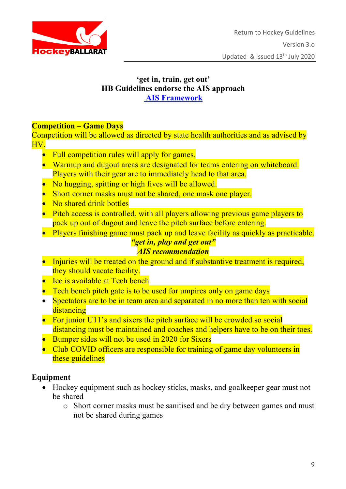

#### **'get in, train, get out' HB Guidelines endorse the AIS approach AIS Framework**

#### **Competition – Game Days**

Competition will be allowed as directed by state health authorities and as advised by HV.

- Full competition rules will apply for games.
- Warmup and dugout areas are designated for teams entering on whiteboard. Players with their gear are to immediately head to that area.
- No hugging, spitting or high fives will be allowed.
- Short corner masks must not be shared, one mask one player.
- No shared drink bottles
- Pitch access is controlled, with all players allowing previous game players to pack up out of dugout and leave the pitch surface before entering.
- Players finishing game must pack up and leave facility as quickly as practicable.

#### *"get in, play and get out" AIS recommendation*

- Injuries will be treated on the ground and if substantive treatment is required, they should vacate facility.
- Ice is available at Tech bench
- Tech bench pitch gate is to be used for umpires only on game days
- Spectators are to be in team area and separated in no more than ten with social distancing
- For junior U11's and sixers the pitch surface will be crowded so social distancing must be maintained and coaches and helpers have to be on their toes.
- Bumper sides will not be used in 2020 for Sixers
- Club COVID officers are responsible for training of game day volunteers in these guidelines

### **Equipment**

- Hockey equipment such as hockey sticks, masks, and goalkeeper gear must not be shared
	- o Short corner masks must be sanitised and be dry between games and must not be shared during games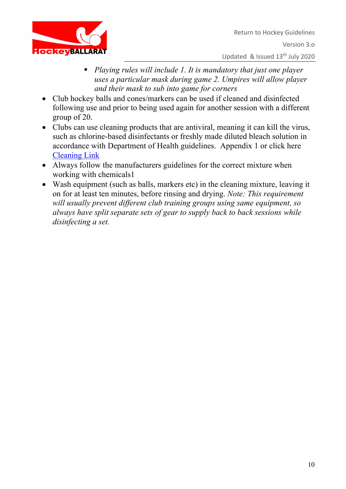

- *Playing rules will include 1. It is mandatory that just one player uses a particular mask during game 2. Umpires will allow player and their mask to sub into game for corners*
- Club hockey balls and cones/markers can be used if cleaned and disinfected following use and prior to being used again for another session with a different group of 20.
- Clubs can use cleaning products that are antiviral, meaning it can kill the virus, such as chlorine-based disinfectants or freshly made diluted bleach solution in accordance with Department of Health guidelines. Appendix 1 or click here Cleaning Link
- Always follow the manufacturers guidelines for the correct mixture when working with chemicals1
- Wash equipment (such as balls, markers etc) in the cleaning mixture, leaving it on for at least ten minutes, before rinsing and drying. *Note: This requirement will usually prevent different club training groups using same equipment, so always have split separate sets of gear to supply back to back sessions while disinfecting a set.*